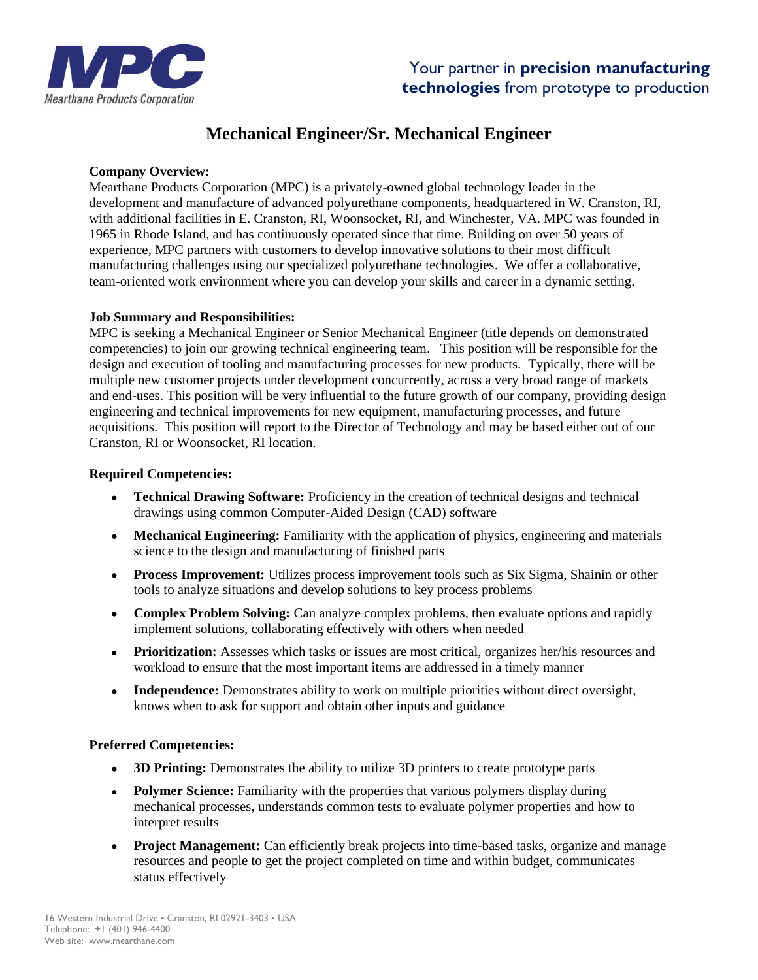

## **Mechanical Engineer/Sr. Mechanical Engineer**

### **Company Overview:**

Mearthane Products Corporation (MPC) is a privately-owned global technology leader in the development and manufacture of advanced polyurethane components, headquartered in W. Cranston, RI, with additional facilities in E. Cranston, RI, Woonsocket, RI, and Winchester, VA. MPC was founded in 1965 in Rhode Island, and has continuously operated since that time. Building on over 50 years of experience, MPC partners with customers to develop innovative solutions to their most difficult manufacturing challenges using our specialized polyurethane technologies. We offer a collaborative, team-oriented work environment where you can develop your skills and career in a dynamic setting.

### **Job Summary and Responsibilities:**

MPC is seeking a Mechanical Engineer or Senior Mechanical Engineer (title depends on demonstrated competencies) to join our growing technical engineering team. This position will be responsible for the design and execution of tooling and manufacturing processes for new products. Typically, there will be multiple new customer projects under development concurrently, across a very broad range of markets and end-uses. This position will be very influential to the future growth of our company, providing design engineering and technical improvements for new equipment, manufacturing processes, and future acquisitions. This position will report to the Director of Technology and may be based either out of our Cranston, RI or Woonsocket, RI location.

### **Required Competencies:**

- **Technical Drawing Software:** Proficiency in the creation of technical designs and technical drawings using common Computer-Aided Design (CAD) software
- **Mechanical Engineering:** Familiarity with the application of physics, engineering and materials science to the design and manufacturing of finished parts
- **Process Improvement:** Utilizes process improvement tools such as Six Sigma, Shainin or other tools to analyze situations and develop solutions to key process problems
- **Complex Problem Solving:** Can analyze complex problems, then evaluate options and rapidly implement solutions, collaborating effectively with others when needed
- **Prioritization:** Assesses which tasks or issues are most critical, organizes her/his resources and workload to ensure that the most important items are addressed in a timely manner
- **Independence:** Demonstrates ability to work on multiple priorities without direct oversight, knows when to ask for support and obtain other inputs and guidance

### **Preferred Competencies:**

- **3D Printing:** Demonstrates the ability to utilize 3D printers to create prototype parts
- **Polymer Science:** Familiarity with the properties that various polymers display during mechanical processes, understands common tests to evaluate polymer properties and how to interpret results
- **Project Management:** Can efficiently break projects into time-based tasks, organize and manage resources and people to get the project completed on time and within budget, communicates status effectively